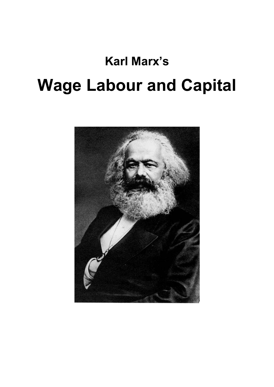# **Karl Marx's Wage Labour and Capital**

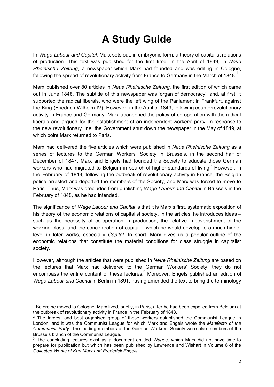## **A Study Guide**

In *Wage Labour and Capital,* Marx sets out, in embryonic form, a theory of capitalist relations of production. This text was published for the first time, in the April of 1849, in *Neue Rheinische Zeitung*, a newspaper which Marx had founded and was editing in Cologne, following the spread of revolutionary activity from France to Germany in the March of 1848. $^\mathrm{1}$ 

Marx published over 80 articles in *Neue Rheinische Zeitung*, the first edition of which came out in June 1848. The subtitle of this newspaper was 'organ of democracy', and, at first, it supported the radical liberals, who were the left wing of the Parliament in Frankfurt, against the King (Friedrich Wilhelm IV). However, in the April of 1849, following counterrevolutionary activity in France and Germany, Marx abandoned the policy of co-operation with the radical liberals and argued for the establishment of an independent workers' party. In response to the new revolutionary line, the Government shut down the newspaper in the May of 1849, at which point Marx returned to Paris.

Marx had delivered the five articles which were published in *Neue Rheinische Zeitung* as a series of lectures to the German Workers' Society in Brussels, in the second half of December of 1847. Marx and Engels had founded the Society to educate those German workers who had migrated to Belgium in search of higher standards of living. However, in the February of 1848, following the outbreak of revolutionary activity in France, the Belgian police arrested and deported the members of the Society, and Marx was forced to move to Paris. Thus, Marx was precluded from publishing *Wage Labour and Capital* in Brussels in the February of 1848, as he had intended.

The significance of *Wage Labour and Capital* is that it is Marx's first, systematic exposition of his theory of the economic relations of capitalist society. In the articles, he introduces ideas – such as the necessity of co-operation in production, the relative impoverishment of the working class, and the concentration of capital – which he would develop to a much higher level in later works, especially *Capital*. In short, Marx gives us a popular outline of the economic relations that constitute the material conditions for class struggle in capitalist society.

However, although the articles that were published in *Neue Rheinische Zeitung* are based on the lectures that Marx had delivered to the German Workers' Society, they do not encompass the entire content of these lectures. $3$  Moreover, Engels published an edition of *Wage Labour and Capital* in Berlin in 1891, having amended the text to bring the terminology

<sup>1</sup> Before he moved to Cologne, Marx lived, briefly, in Paris, after he had been expelled from Belgium at the outbreak of revolutionary activity in France in the February of 1848.

 $2$  The largest and best organised group of these workers established the Communist League in London, and it was the Communist League for which Marx and Engels wrote the *Manifesto of the Communist Party*. The leading members of the German Workers' Society were also members of the Brussels branch of the Communist League.

<sup>3</sup> The concluding lectures exist as a document entitled *Wages*, which Marx did not have time to prepare for publication but which has been published by Lawrence and Wishart in Volume 6 of the *Collected Works of Karl Marx and Frederick Engels*.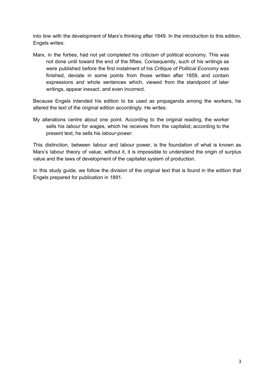into line with the development of Marx's thinking after 1849. In the introduction to this edition, Engels writes:

Marx, in the forties, had not yet completed his criticism of political economy. This was not done until toward the end of the fifties. Consequently, such of his writings as were published before the first instalment of his *Critique of Political Economy* was finished, deviate in some points from those written after 1859, and contain expressions and whole sentences which, viewed from the standpoint of later writings, appear inexact, and even incorrect.

Because Engels intended his edition to be used as propaganda among the workers, he altered the text of the original edition accordingly. He writes:

My alterations centre about one point. According to the original reading, the worker sells his *labour* for wages, which he receives from the capitalist; according to the present text, he sells his *labour-power*.

This distinction, between labour and labour power, is the foundation of what is known as Marx's labour theory of value; without it, it is impossible to understand the origin of surplus value and the laws of development of the capitalist system of production.

In this study guide, we follow the division of the original text that is found in the edition that Engels prepared for publication in 1891.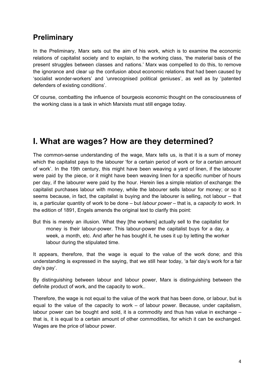## **Preliminary**

In the Preliminary, Marx sets out the aim of his work, which is to examine the economic relations of capitalist society and to explain, to the working class, 'the material basis of the present struggles between classes and nations.' Marx was compelled to do this, to remove the ignorance and clear up the confusion about economic relations that had been caused by 'socialist wonder-workers' and 'unrecognised political geniuses', as well as by 'patented defenders of existing conditions'.

Of course, combatting the influence of bourgeois economic thought on the consciousness of the working class is a task in which Marxists must still engage today.

## **I. What are wages? How are they determined?**

The common-sense understanding of the wage, Marx tells us, is that it is a sum of money which the capitalist pays to the labourer 'for a certain period of work or for a certain amount of work'. In the 19th century, this might have been weaving a yard of linen, if the labourer were paid by the piece, or it might have been weaving linen for a specific number of hours per day, if the labourer were paid by the hour. Herein lies a simple relation of exchange: the capitalist purchases labour with money, while the labourer sells labour for money; or so it seems because, in fact, the capitalist is buying and the labourer is selling, not labour – that is, a particular quantity of work to be done – but *labour power* – that is, a *capacity to work*. In the edition of 1891, Engels amends the original text to clarify this point:

But this is merely an illusion. What they [the workers] actually sell to the capitalist for money is their labour-power. This labour-power the capitalist buys for a day, a week, a month, etc. And after he has bought it, he uses it up by letting the worker labour during the stipulated time.

It appears, therefore, that the wage is equal to the value of the work done; and this understanding is expressed in the saying, that we still hear today, 'a fair day's work for a fair day's pay'.

By distinguishing between labour and labour power, Marx is distinguishing between the definite product of work, and the capacity to work..

Therefore, the wage is not equal to the value of the work that has been done, or labour, but is equal to the value of the capacity to work – of labour power. Because, under capitalism, labour power can be bought and sold, it is a commodity and thus has value in exchange – that is, it is equal to a certain amount of other commodities, for which it can be exchanged. Wages are the price of labour power.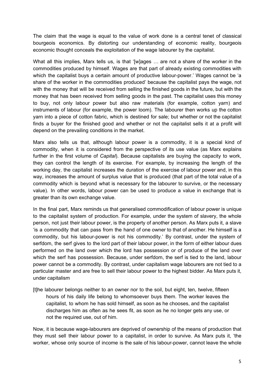The claim that the wage is equal to the value of work done is a central tenet of classical bourgeois economics. By distorting our understanding of economic reality, bourgeois economic thought conceals the exploitation of the wage labourer by the capitalist.

What all this implies, Marx tells us, is that '[w]ages … are not a share of the worker in the commodities produced by himself. Wages are that part of already existing commodities with which the capitalist buys a certain amount of productive labour-power.' Wages cannot be 'a share of the worker in the commodities produced' because the capitalist pays the wage, not with the money that will be received from selling the finished goods in the future, but with the money that has been received from selling goods in the past. The capitalist uses this money to buy, not only labour power but also raw materials (for example, cotton yarn) and instruments of labour (for example, the power loom). The labourer then works up the cotton yarn into a piece of cotton fabric, which is destined for sale; but whether or not the capitalist finds a buyer for the finished good and whether or not the capitalist sells it at a profit will depend on the prevailing conditions in the market.

Marx also tells us that, although labour power is a commodity, it is a special kind of commodity, when it is considered from the perspective of its use value (as Marx explains further in the first volume of *Capital*). Because capitalists are buying the capacity to work, they can control the length of its exercise. For example, by increasing the length of the working day, the capitalist increases the duration of the exercise of labour power and, in this way, increases the amount of surplus value that is produced (that part of the total value of a commodity which is beyond what is necessary for the labourer to survive, or the necessary value). In other words, labour power can be used to produce a value in exchange that is greater than its own exchange value.

In the final part, Marx reminds us that generalised commodification of labour power is unique to the capitalist system of production. For example, under the system of slavery, the whole person, not just their labour power, is the property of another person. As Marx puts it, a slave 'is a commodity that can pass from the hand of one owner to that of another. He himself is a commodity, but his labour-power is not his commodity.' By contrast, under the system of serfdom, the serf gives to the lord part of their labour power, in the form of either labour dues performed on the land over which the lord has possession or of produce of the land over which the serf has possession. Because, under serfdom, the serf is tied to the land, labour power cannot be a commodity. By contrast, under capitalism wage labourers are not tied to a particular master and are free to sell their labour power to the highest bidder. As Marx puts it, under capitalism

[t]he labourer belongs neither to an owner nor to the soil, but eight, ten, twelve, fifteen hours of his daily life belong to whomsoever buys them. The worker leaves the capitalist, to whom he has sold himself, as soon as he chooses, and the capitalist discharges him as often as he sees fit, as soon as he no longer gets any use, or not the required use, out of him.

Now, it is because wage-labourers are deprived of ownership of the means of production that they must sell their labour power to a capitalist, in order to survive. As Marx puts it, 'the worker, whose only source of income is the sale of his labour-power, cannot leave the whole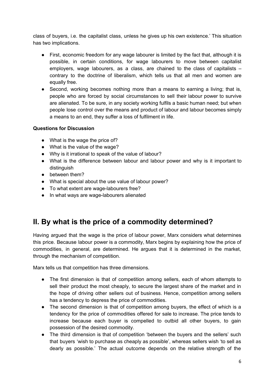class of buyers, i.e. the capitalist class, unless he gives up his own existence.' This situation has two implications.

- First, economic freedom for any wage labourer is limited by the fact that, although it is possible, in certain conditions, for wage labourers to move between capitalist employers, wage labourers, as a class, are chained to the class of capitalists – contrary to the doctrine of liberalism, which tells us that all men and women are equally free.
- Second, working becomes nothing more than a means to earning a living; that is, people who are forced by social circumstances to sell their labour power to survive are alienated. To be sure, in any society working fulfils a basic human need; but when people lose control over the means and product of labour and labour becomes simply a means to an end, they suffer a loss of fulfilment in life.

#### **Questions for Discussion**

- What is the wage the price of?
- What is the value of the wage?
- Why is it irrational to speak of the value of labour?
- What is the difference between labour and labour power and why is it important to distinguish
- between them?
- What is special about the use value of labour power?
- To what extent are wage-labourers free?
- In what ways are wage-labourers alienated

## **II. By what is the price of a commodity determined?**

Having argued that the wage is the price of labour power, Marx considers what determines this price. Because labour power is a commodity, Marx begins by explaining how the price of commodities, in general, are determined. He argues that it is determined in the market, through the mechanism of competition.

Marx tells us that competition has three dimensions.

- The first dimension is that of competition among sellers, each of whom attempts to sell their product the most cheaply, to secure the largest share of the market and in the hope of driving other sellers out of business. Hence, competition among sellers has a tendency to depress the price of commodities.
- The second dimension is that of competition among buyers, the effect of which is a tendency for the price of commodities offered for sale to increase. The price tends to increase because each buyer is compelled to outbid all other buyers, to gain possession of the desired commodity.
- The third dimension is that of competition 'between the buyers and the sellers' such that buyers 'wish to purchase as cheaply as possible', whereas sellers wish 'to sell as dearly as possible.' The actual outcome depends on the relative strength of the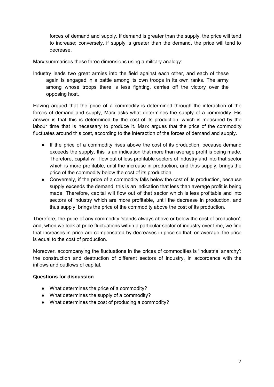forces of demand and supply. If demand is greater than the supply, the price will tend to increase; conversely, if supply is greater than the demand, the price will tend to decrease.

Marx summarises these three dimensions using a military analogy:

Industry leads two great armies into the field against each other, and each of these again is engaged in a battle among its own troops in its own ranks. The army among whose troops there is less fighting, carries off the victory over the opposing host.

Having argued that the price of a commodity is determined through the interaction of the forces of demand and supply, Marx asks what determines the supply of a commodity. His answer is that this is determined by the cost of its production, which is measured by the labour time that is necessary to produce it. Marx argues that the price of the commodity fluctuates around this cost, according to the interaction of the forces of demand and supply.

- If the price of a commodity rises above the cost of its production, because demand exceeds the supply, this is an indication that more than average profit is being made. Therefore, capital will flow out of less profitable sectors of industry and into that sector which is more profitable, until the increase in production, and thus supply, brings the price of the commodity below the cost of its production.
- Conversely, if the price of a commodity falls below the cost of its production, because supply exceeds the demand, this is an indication that less than average profit is being made. Therefore, capital will flow out of that sector which is less profitable and into sectors of industry which are more profitable, until the decrease in production, and thus supply, brings the price of the commodity above the cost of its production.

Therefore, the price of any commodity 'stands always above or below the cost of production'; and, when we look at price fluctuations within a particular sector of industry over time, we find that increases in price are compensated by decreases in price so that, on average, the price is equal to the cost of production.

Moreover, accompanying the fluctuations in the prices of commodities is 'industrial anarchy': the construction and destruction of different sectors of industry, in accordance with the inflows and outflows of capital.

#### **Questions for discussion**

- What determines the price of a commodity?
- What determines the supply of a commodity?
- What determines the cost of producing a commodity?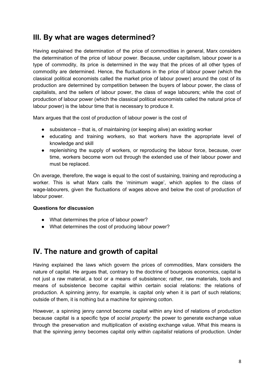### **III. By what are wages determined?**

Having explained the determination of the price of commodities in general, Marx considers the determination of the price of labour power. Because, under capitalism, labour power is a type of commodity, its price is determined in the way that the prices of all other types of commodity are determined. Hence, the fluctuations in the price of labour power (which the classical political economists called the market price of labour power) around the cost of its production are determined by competition between the buyers of labour power, the class of capitalists, and the sellers of labour power, the class of wage labourers; while the cost of production of labour power (which the classical political economists called the natural price of labour power) is the labour time that is necessary to produce it.

Marx argues that the cost of production of labour power is the cost of

- subsistence that is, of maintaining (or keeping alive) an existing worker
- educating and training workers, so that workers have the appropriate level of knowledge and skill
- replenishing the supply of workers, or reproducing the labour force, because, over time, workers become worn out through the extended use of their labour power and must be replaced.

On average, therefore, the wage is equal to the cost of sustaining, training and reproducing a worker. This is what Marx calls the 'minimum wage', which applies to the class of wage-labourers, given the fluctuations of wages above and below the cost of production of labour power.

#### **Questions for discussion**

- What determines the price of labour power?
- What determines the cost of producing labour power?

#### **IV. The nature and growth of capital**

Having explained the laws which govern the prices of commodities, Marx considers the nature of capital. He argues that, contrary to the doctrine of bourgeois economics, capital is not just a raw material, a tool or a means of subsistence; rather, raw materials, tools and means of subsistence become capital within certain social relations: the relations of production. A spinning jenny, for example, is capital only when it is part of such relations; outside of them, it is nothing but a machine for spinning cotton.

However, a spinning jenny cannot become capital within any kind of relations of production because capital is a specific type of *social property*: the power to generate exchange value through the preservation and multiplication of existing exchange value. What this means is that the spinning jenny becomes capital only within *capitalist* relations of production. Under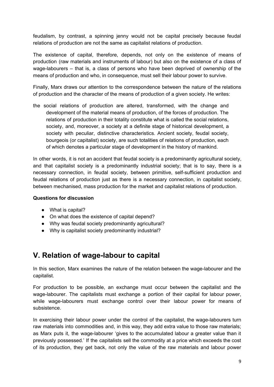feudalism, by contrast, a spinning jenny would not be capital precisely because feudal relations of production are not the same as capitalist relations of production.

The existence of capital, therefore, depends, not only on the existence of means of production (raw materials and instruments of labour) but also on the existence of a class of wage-labourers – that is, a class of persons who have been deprived of ownership of the means of production and who, in consequence, must sell their labour power to survive.

Finally, Marx draws our attention to the correspondence between the nature of the relations of production and the character of the means of production of a given society. He writes:

the social relations of production are altered, transformed, with the change and development of the material means of production, of the forces of production. The relations of production in their totality constitute what is called the social relations, society, and, moreover, a society at a definite stage of historical development, a society with peculiar, distinctive characteristics. Ancient society, feudal society, bourgeois (or capitalist) society, are such totalities of relations of production, each of which denotes a particular stage of development in the history of mankind.

In other words, it is not an accident that feudal society is a predominantly agricultural society, and that capitalist society is a predominantly industrial society; that is to say, there is a necessary connection, in feudal society, between primitive, self-sufficient production and feudal relations of production just as there is a necessary connection, in capitalist society, between mechanised, mass production for the market and capitalist relations of production.

#### **Questions for discussion**

- What is capital?
- On what does the existence of capital depend?
- Why was feudal society predominantly agricultural?
- Why is capitalist society predominantly industrial?

## **V. Relation of wage-labour to capital**

In this section, Marx examines the nature of the relation between the wage-labourer and the capitalist.

For production to be possible, an exchange must occur between the capitalist and the wage-labourer. The capitalists must exchange a portion of their capital for labour power, while wage-labourers must exchange control over their labour power for means of subsistence.

In exercising their labour power under the control of the capitalist, the wage-labourers turn raw materials into commodities and, in this way, they add extra value to those raw materials; as Marx puts it, the wage-labourer 'gives to the accumulated labour a greater value than it previously possessed.' If the capitalists sell the commodity at a price which exceeds the cost of its production, they get back, not only the value of the raw materials and labour power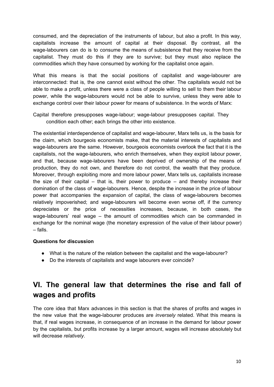consumed, and the depreciation of the instruments of labour, but also a profit. In this way, capitalists increase the amount of capital at their disposal. By contrast, all the wage-labourers can do is to consume the means of subsistence that they receive from the capitalist. They must do this if they are to survive; but they must also replace the commodities which they have consumed by working for the capitalist once again.

What this means is that the social positions of capitalist and wage-labourer are interconnected: that is, the one cannot exist without the other. The capitalists would not be able to make a profit, unless there were a class of people willing to sell to them their labour power, while the wage-labourers would not be able to survive, unless they were able to exchange control over their labour power for means of subsistence. In the words of Marx:

Capital therefore presupposes wage-labour; wage-labour presupposes capital. They condition each other; each brings the other into existence.

The existential interdependence of capitalist and wage-labourer, Marx tells us, is the basis for the claim, which bourgeois economists make, that the material interests of capitalists and wage-labourers are the same. However, bourgeois economists overlook the fact that it is the capitalists, not the wage-labourers, who enrich themselves, when they exploit labour power, and that, because wage-labourers have been deprived of ownership of the means of production, they do not own, and therefore do not control, the wealth that they produce. Moreover, through exploiting more and more labour power, Marx tells us, capitalists increase the size of their capital  $-$  that is, their power to produce  $-$  and thereby increase their domination of the class of wage-labourers. Hence, despite the increase in the price of labour power that accompanies the expansion of capital, the class of wage-labourers becomes relatively impoverished; and wage-labourers will become even worse off, if the currency depreciates or the price of necessities increases, because, in both cases, the wage-labourers' real wage – the amount of commodities which can be commanded in exchange for the nominal wage (the monetary expression of the value of their labour power) – falls.

#### **Questions for discussion**

- What is the nature of the relation between the capitalist and the wage-labourer?
- Do the interests of capitalists and wage labourers ever coincide?

## **VI. The general law that determines the rise and fall of wages and profits**

The core idea that Marx advances in this section is that the shares of profits and wages in the new value that the wage-labourer produces are *inversely* related. What this means is that, if real wages increase, in consequence of an increase in the demand for labour power by the capitalists, but profits increase by a larger amount, wages will increase absolutely but will decrease *relatively*.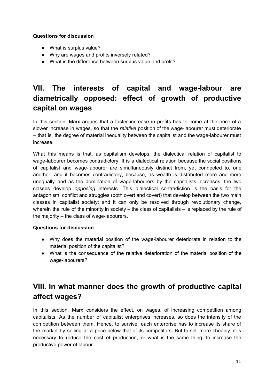#### **Questions for discussion**

- What is surplus value?
- Why are wages and profits inversely related?
- What is the difference between surplus value and profit?

## **VII. The interests of capital and wage-labour are diametrically opposed: effect of growth of productive capital on wages**

In this section, Marx argues that a faster increase in profits has to come at the price of a slower increase in wages, so that the *relative* position of the wage-labourer must deteriorate – that is, the degree of material inequality between the capitalist and the wage-labourer must increase.

What this means is that, as capitalism develops, the dialectical relation of capitalist to wage-labourer becomes contradictory. It is a dialectical relation because the social positions of capitalist and wage-labourer are simultaneously distinct from, yet connected to, one another; and it becomes contradictory, because, as wealth is distributed more and more unequally and as the domination of wage-labourers by the capitalists increases, the two classes develop *opposing* interests. This dialectical contradiction is the basis for the antagonism, conflict and struggles (both overt and covert) that develop between the two main classes in capitalist society; and it can only be resolved through revolutionary change, wherein the rule of the minority in society – the class of capitalists – is replaced by the rule of the majority – the class of wage-labourers.

#### **Questions for discussion**

- Why does the material position of the wage-labourer deteriorate in relation to the material position of the capitalist?
- What is the consequence of the relative deterioration of the material position of the wage-labourers?

## **VIII. In what manner does the growth of productive capital affect wages?**

In this section, Marx considers the effect, on wages, of increasing competition among capitalists. As the number of capitalist enterprises increases, so does the intensity of the competition between them. Hence, to survive, each enterprise has to increase its share of the market by selling at a price below that of its competitors. But to sell more cheaply, it is necessary to reduce the cost of production, or what is the same thing, to increase the productive power of labour.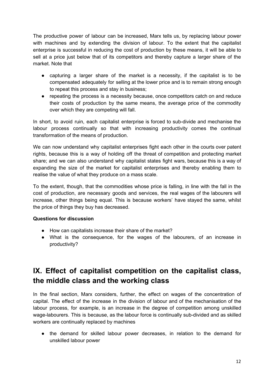The productive power of labour can be increased, Marx tells us, by replacing labour power with machines and by extending the division of labour. To the extent that the capitalist enterprise is successful in reducing the cost of production by these means, it will be able to sell at a price just below that of its competitors and thereby capture a larger share of the market. Note that

- capturing a larger share of the market is a necessity, if the capitalist is to be compensated adequately for selling at the lower price and is to remain strong enough to repeat this process and stay in business;
- repeating the process is a necessity because, once competitors catch on and reduce their costs of production by the same means, the average price of the commodity over which they are competing will fall.

In short, to avoid ruin, each capitalist enterprise is forced to sub-divide and mechanise the labour process continually so that with increasing productivity comes the continual transformation of the means of production.

We can now understand why capitalist enterprises fight each other in the courts over patent rights, because this is a way of holding off the threat of competition and protecting market share; and we can also understand why capitalist states fight wars, because this is a way of expanding the size of the market for capitalist enterprises and thereby enabling them to realise the value of what they produce on a mass scale.

To the extent, though, that the commodities whose price is falling, in line with the fall in the cost of production, are necessary goods and services, the real wages of the labourers will increase, other things being equal. This is because workers' have stayed the same, whilst the price of things they buy has decreased.

#### **Questions for discussion**

- How can capitalists increase their share of the market?
- What is the consequence, for the wages of the labourers, of an increase in productivity?

## **IX. Effect of capitalist competition on the capitalist class, the middle class and the working class**

In the final section, Marx considers, further, the effect on wages of the concentration of capital. The effect of the increase in the division of labour and of the mechanisation of the labour process, for example, is an increase in the degree of competition among unskilled wage-labourers. This is because, as the labour force is continually sub-divided and as skilled workers are continually replaced by machines

● the demand for skilled labour power decreases, in relation to the demand for unskilled labour power